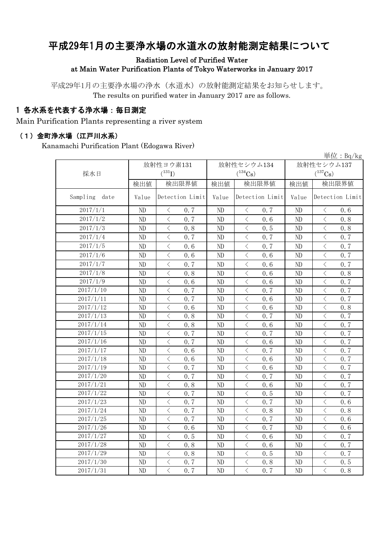# 平成29年1月の主要浄水場の水道水の放射能測定結果について

#### Radiation Level of Purified Water at Main Water Purification Plants of Tokyo Waterworks in January 2017

平成29年1月の主要浄水場の浄水(水道水)の放射能測定結果をお知らせします。 The results on purified water in January 2017 are as follows.

### 1 各水系を代表する浄水場:毎日測定

Main Purification Plants representing a river system

#### (1)金町浄水場(江戸川水系)

Kanamachi Purification Plant (Edogawa River)

|                  |          |                                                 |          |                                                                                                                                                                      |            | $\frac{\dot{\mathbb{H}}$ 位: Bq/kg               |  |
|------------------|----------|-------------------------------------------------|----------|----------------------------------------------------------------------------------------------------------------------------------------------------------------------|------------|-------------------------------------------------|--|
|                  |          | 放射性ヨウ素131                                       |          | 放射性セシウム134                                                                                                                                                           | 放射性セシウム137 |                                                 |  |
| 採水日              |          | $(^{131}I)$<br>$(^{134}Cs)$                     |          |                                                                                                                                                                      |            | $(^{137}\mathrm{Cs})$                           |  |
|                  | 検出値      | 検出限界値                                           | 検出値      | 検出限界値                                                                                                                                                                | 検出値        | 検出限界値                                           |  |
| Sampling<br>date | Value    | Detection Limit                                 | Value    | Detection Limit                                                                                                                                                      | Value      | Detection Limit                                 |  |
| 2017/1/1         | ND       | $\langle$<br>0.7                                | ND       | $\langle$<br>0.7                                                                                                                                                     | ND         | 0.6<br>$\lt$                                    |  |
| 2017/1/2         | ND       | $\langle$<br>0.7                                | ND       | $\langle$<br>0.6                                                                                                                                                     | ND         | $\lt$<br>0.8                                    |  |
| 2017/1/3         | ND       | $\,$ $\,$ $\,$<br>0.8                           | ND       | $\,$ $\,$ $\,$<br>0.5                                                                                                                                                | ND         | $\overline{\left\langle \right\rangle }$<br>0.8 |  |
| 2017/1/4         | ND       | $\langle$<br>0.7                                | ND       | $\lt$<br>0.7                                                                                                                                                         | ND         | $\overline{\left\langle \right\rangle }$<br>0.7 |  |
| 2017/1/5         | ND       | $\langle$<br>0, 6                               | ND       | $\langle$<br>0.7                                                                                                                                                     | ND         | $\langle$<br>0.7                                |  |
| 2017/1/6         | ND       | $\langle$<br>0.6                                | ND       | $\langle$<br>0.6                                                                                                                                                     | ND         | $\langle$<br>0.7                                |  |
| 2017/1/7         | ND       | $\langle$<br>0.7                                | ND       | $\lt$<br>0, 6                                                                                                                                                        | ND         | $\langle$<br>0.7                                |  |
| 2017/1/8         | ND       | $\langle$<br>0.8                                | ND       | $\overline{\left\langle \right. }% ,\left\langle \overline{\left\langle \right. }% ,\left\langle \overline{\left\langle \right\rangle }\right\rangle \right.$<br>0.6 | ND         | $\lt$<br>0.8                                    |  |
| 2017/1/9         | ND       | $\langle$<br>0.6                                | ND       | $\langle$<br>0.6                                                                                                                                                     | ND         | $\overline{\left\langle \right\rangle }$<br>0.7 |  |
| 2017/1/10        | ND       | $\langle$<br>0.7                                | $\rm ND$ | $\overline{\left\langle \right\rangle }$<br>0.7                                                                                                                      | ND         | $\overline{\langle}$<br>0.7                     |  |
| 2017/1/11        | ND       | $\overline{\left\langle \right\rangle }$<br>0.7 | ND       | $\langle$<br>0.6                                                                                                                                                     | ND         | $\overline{\left\langle \right\rangle }$<br>0.7 |  |
| 2017/1/12        | ND       | $\langle$<br>0, 6                               | ND       | $\lt$<br>0.6                                                                                                                                                         | ND         | $\overline{\left\langle \right\rangle }$<br>0.8 |  |
| 2017/1/13        | ND       | $\langle$<br>0.8                                | ND       | $\overline{\left\langle \right\rangle }$<br>0.7                                                                                                                      | ND         | $\overline{\left\langle \right\rangle }$<br>0.7 |  |
| 2017/1/14        | ND       | $\langle$<br>0.8                                | ND       | $\langle$<br>0.6                                                                                                                                                     | ND         | $\overline{\left\langle \right\rangle }$<br>0.7 |  |
| 2017/1/15        | ND       | $\langle$<br>0.7                                | ND       | $\langle$<br>0.7                                                                                                                                                     | ND         | $\overline{\left\langle \right\rangle }$<br>0.7 |  |
| 2017/1/16        | ND       | $\langle$<br>0.7                                | $\rm ND$ | $\langle$<br>0.6                                                                                                                                                     | ND         | $\overline{\left\langle \right\rangle }$<br>0.7 |  |
| 2017/1/17        | ND       | $\lt$<br>0.6                                    | ND       | $\langle$<br>0.7                                                                                                                                                     | ND         | $\overline{\left\langle \right\rangle }$<br>0.7 |  |
| 2017/1/18        | ND       | $\langle$<br>0.6                                | ND       | $\lt$<br>0.6                                                                                                                                                         | ND         | $\overline{\left\langle \right\rangle }$<br>0.7 |  |
| 2017/1/19        | $\rm ND$ | $\langle$<br>0.7                                | $\rm ND$ | $\lt$<br>0.6                                                                                                                                                         | ND         | $\langle$<br>0.7                                |  |
| 2017/1/20        | $\rm ND$ | $\langle$<br>0.7                                | $\rm ND$ | $\lt$<br>0.7                                                                                                                                                         | ND         | $\,$ $\,$ $\,$<br>0.7                           |  |
| 2017/1/21        | ND       | $\langle$<br>0.8                                | ND       | $\langle$<br>0.6                                                                                                                                                     | ND         | $\overline{\left\langle \right\rangle }$<br>0.7 |  |
| 2017/1/22        | $\rm ND$ | $\langle$<br>0.7                                | ND       | $\langle$<br>0.5                                                                                                                                                     | ND         | $\overline{\left\langle \right\rangle }$<br>0.7 |  |
| 2017/1/23        | ND       | $\langle$<br>0.7                                | ND       | $\overline{\left\langle \right\rangle }$<br>0.7                                                                                                                      | ND         | $\overline{\left\langle \right\rangle }$<br>0.6 |  |
| 2017/1/24        | ND       | $\lt$<br>0.7                                    | ND       | $\lt$<br>0.8                                                                                                                                                         | ND         | $\lt$<br>0.8                                    |  |
| 2017/1/25        | ND       | $\langle$<br>0.7                                | ND       | $\langle$<br>0.7                                                                                                                                                     | ND         | $\overline{\left\langle \right\rangle }$<br>0.6 |  |
| 2017/1/26        | ND       | $\langle$<br>0.6                                | ND       | $\overline{\left\langle \right\rangle }$<br>0.7                                                                                                                      | ND         | $\overline{\left\langle \right\rangle }$<br>0.6 |  |
| 2017/1/27        | ND       | $\langle$<br>0.5                                | ND       | $\langle$<br>0.6                                                                                                                                                     | ND         | $\lt$<br>0.7                                    |  |
| 2017/1/28        | ND       | $\lt$<br>0.8                                    | ND       | $\langle$<br>0.6                                                                                                                                                     | ND         | $\langle$<br>0.7                                |  |
| 2017/1/29        | ND       | $\langle$<br>0.8                                | ND       | $\overline{\left\langle \right\rangle }$<br>0.5                                                                                                                      | ND         | $\langle$<br>0.7                                |  |
| 2017/1/30        | ND       | $\,$ $\,$ $\,$<br>0.7                           | ND       | $\langle$<br>0.8                                                                                                                                                     | ND         | $\,$ $\,$ $\,$<br>0.5                           |  |
| 2017/1/31        | ND       | $\overline{\langle}$<br>0.7                     | ND       | $\overline{\left\langle \right\rangle }$<br>0.7                                                                                                                      | ND         | $\overline{\left\langle \right\rangle }$<br>0.8 |  |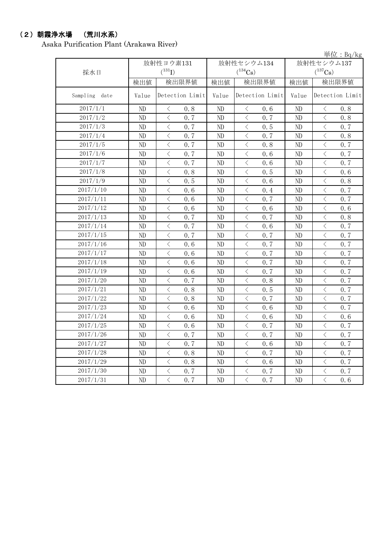## (2)朝霞浄水場 (荒川水系)

Asaka Purification Plant (Arakawa River)

単位:Bq/kg

| 採水日           |          | 放射性ヨウ素131<br>$(^{131}I)$                                                                                                                                             |          | 放射性セシウム134<br>$(^{134}Cs)$                                                                                                                                                                                                                     | 放射性セシウム137<br>$(^{137}\mathrm{Cs})$ |                                                 |  |
|---------------|----------|----------------------------------------------------------------------------------------------------------------------------------------------------------------------|----------|------------------------------------------------------------------------------------------------------------------------------------------------------------------------------------------------------------------------------------------------|-------------------------------------|-------------------------------------------------|--|
|               | 検出値      | 検出限界値                                                                                                                                                                | 検出値      | 検出限界値                                                                                                                                                                                                                                          | 検出値                                 | 検出限界値                                           |  |
| Sampling date | Value    | Detection Limit                                                                                                                                                      | Value    | Detection Limit                                                                                                                                                                                                                                | Value                               | Detection Limit                                 |  |
| 2017/1/1      | ND       | $\langle$<br>0.8                                                                                                                                                     | ND       | $\lt$<br>0.6                                                                                                                                                                                                                                   | ND                                  | $\langle$<br>0, 8                               |  |
| 2017/1/2      | ND       | $\,$ $\,$ $\,$<br>0.7                                                                                                                                                | ND       | $\,$ $\,$ $\,$<br>0.7                                                                                                                                                                                                                          | ND                                  | $\,$ $\,$ $\,$<br>0.8                           |  |
| 2017/1/3      | $\rm ND$ | $\langle$<br>0.7                                                                                                                                                     | ND       | $\,$ $\,$ $\,$<br>0.5                                                                                                                                                                                                                          | ND                                  | $\,$ $\,$ $\,$<br>0.7                           |  |
| 2017/1/4      | ND       | $\,$ $\,$ $\,$<br>0.7                                                                                                                                                | ND       | $\lt$<br>0.7                                                                                                                                                                                                                                   | ND                                  | $\,$ $\,$ $\,$<br>0.8                           |  |
| 2017/1/5      | ND       | $\langle$<br>0.7                                                                                                                                                     | ND       | $\langle$<br>0.8                                                                                                                                                                                                                               | ND                                  | $\langle$<br>0.7                                |  |
| 2017/1/6      | ND       | $\langle$<br>0.7                                                                                                                                                     | ND       | $\lt$<br>0.6                                                                                                                                                                                                                                   | ND                                  | $\lt$<br>0.7                                    |  |
| 2017/1/7      | $\rm ND$ | $\overline{\left\langle \right\rangle }$<br>0.7                                                                                                                      | $\rm ND$ | $\lt$<br>0.6                                                                                                                                                                                                                                   | ND                                  | $\langle$<br>0.7                                |  |
| 2017/1/8      | ND       | $\lt$<br>0.8                                                                                                                                                         | ND       | $\lt$<br>0.5                                                                                                                                                                                                                                   | ND                                  | $\langle$<br>0.6                                |  |
| 2017/1/9      | ND       | $\lt$<br>0.5                                                                                                                                                         | ND       | $\lt$<br>0.6                                                                                                                                                                                                                                   | ND                                  | $\lt$<br>0.8                                    |  |
| 2017/1/10     | ND       | $\,<\,$<br>0.6                                                                                                                                                       | ND       | $\hspace{0.5cm}\big\langle$<br>0.4                                                                                                                                                                                                             | ND                                  | $\lt$<br>0.7                                    |  |
| 2017/1/11     | ND       | $\,$ $\,$ $\,$<br>0.6                                                                                                                                                | ND       | $\hspace{0.5cm}\big\langle$<br>0.7                                                                                                                                                                                                             | ND                                  | $\lt$<br>0.7                                    |  |
| 2017/1/12     | $\rm ND$ | $\,$ $\,$ $\,$<br>0.6                                                                                                                                                | $\rm ND$ | $\lt$<br>0.6                                                                                                                                                                                                                                   | ND                                  | $\,$ $\,$ $\,$<br>0.6                           |  |
| 2017/1/13     | ND       | $\hspace{0.1mm} <\hspace{0.1mm}$<br>0.7                                                                                                                              | ND       | 0.7<br>$\langle$                                                                                                                                                                                                                               | ND                                  | $\langle$<br>0.8                                |  |
| 2017/1/14     | ND       | $\,$ $\,$ $\,$<br>0.7                                                                                                                                                | ND       | $\lt$<br>0.6                                                                                                                                                                                                                                   | ND                                  | $\,$ $\,$ $\,$<br>0.7                           |  |
| 2017/1/15     | $\rm ND$ | $\,$ $\,$ $\,$<br>0.7                                                                                                                                                | ND       | $\lt$<br>0.7                                                                                                                                                                                                                                   | ND                                  | $\, < \,$<br>0.7                                |  |
| 2017/1/16     | ND       | $\langle$<br>0.6                                                                                                                                                     | $\rm ND$ | $\lt$<br>0.7                                                                                                                                                                                                                                   | ND                                  | $\langle$<br>0.7                                |  |
| 2017/1/17     | ND       | $\lt$<br>0.6                                                                                                                                                         | ND       | $\langle$<br>0.7                                                                                                                                                                                                                               | ND                                  | $\lt$<br>0.7                                    |  |
| 2017/1/18     | ND       | $\langle$<br>0.6                                                                                                                                                     | ND       | $\overline{\left\langle \right\rangle }$<br>0.7                                                                                                                                                                                                | ND                                  | $\langle$<br>0.7                                |  |
| 2017/1/19     | ND       | $\overline{\left\langle \right. }% ,\left\langle \overline{\left\langle \right. }% ,\left\langle \overline{\left\langle \right\rangle }\right\rangle \right.$<br>0.6 | ND       | $\overline{\left\langle \right\rangle }$<br>0.7                                                                                                                                                                                                | ND                                  | $\hspace{0.1cm}\big\langle$<br>0.7              |  |
| 2017/1/20     | ND       | $\langle$<br>0.7                                                                                                                                                     | ND       | $\lt$<br>0.8                                                                                                                                                                                                                                   | ND                                  | $\,$ $\,$ $\,$<br>0.7                           |  |
| 2017/1/21     | ND       | $\,$ $\,$ $\,$<br>0.8                                                                                                                                                | ND       | $\lt$<br>0.5                                                                                                                                                                                                                                   | ND                                  | $\,$ $\,$ $\,$<br>0.7                           |  |
| 2017/1/22     | ND       | $\overline{\langle}$<br>0.8                                                                                                                                          | ND       | $\overline{\left\langle \right. }% ,\left\langle \overline{\left\langle \right. }\right\rangle _{0}\right\langle \overline{\left\langle \right. }% ,\left\langle \overline{\left\langle \right. }\right\rangle _{0}\right\rangle _{0}}$<br>0.7 | ND                                  | $\overline{\langle}$<br>0.7                     |  |
| 2017/1/23     | ND       | $\lt$<br>0.6                                                                                                                                                         | ND       | $\langle$<br>0.6                                                                                                                                                                                                                               | ND                                  | $\lt$<br>0.7                                    |  |
| 2017/1/24     | ND       | $\langle$<br>0.6                                                                                                                                                     | ND       | $\langle$<br>0.6                                                                                                                                                                                                                               | ND                                  | $\lt$<br>0.6                                    |  |
| 2017/1/25     | ND       | $\langle$<br>0.6                                                                                                                                                     | $\rm ND$ | $\lt$<br>0.7                                                                                                                                                                                                                                   | ND                                  | $\langle$<br>0.7                                |  |
| 2017/1/26     | ND       | $\langle$<br>0.7                                                                                                                                                     | ND       | $\langle$<br>0.7                                                                                                                                                                                                                               | ND                                  | $\overline{\left\langle \right\rangle }$<br>0.7 |  |
| 2017/1/27     | ND       | $\,$ $\,$ $\,$<br>0.7                                                                                                                                                | ND       | $\langle$<br>0.6                                                                                                                                                                                                                               | ND                                  | $\lt$<br>0.7                                    |  |
| 2017/1/28     | $\rm ND$ | $\, < \,$<br>0.8                                                                                                                                                     | ND       | $\, <\,$<br>0.7                                                                                                                                                                                                                                | ND                                  | $\, < \,$<br>0.7                                |  |
| 2017/1/29     | ND       | $\,$ $\,$ $\,$<br>0.8                                                                                                                                                | ND       | $\, <\,$<br>0.6                                                                                                                                                                                                                                | ND                                  | $\,$ $\,$ $\,$<br>0.7                           |  |
| 2017/1/30     | $\rm ND$ | $\,$ $\,$ $\,$<br>0.7                                                                                                                                                | ND       | $\lt$<br>0.7                                                                                                                                                                                                                                   | ND                                  | $\,$ $\,$ $\,$<br>0.7                           |  |
| 2017/1/31     | ND       | $\langle$<br>0.7                                                                                                                                                     | ND       | $\langle$<br>0.7                                                                                                                                                                                                                               | ND                                  | $\langle$<br>0.6                                |  |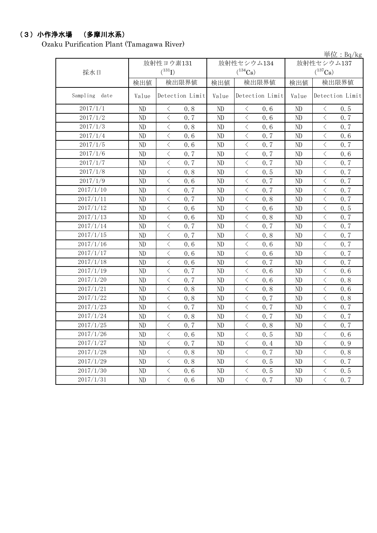## (3)小作浄水場 (多摩川水系)

Ozaku Purification Plant (Tamagawa River)

|               |          |                                                 |          |                                                                                                                                                                                     |                                     | <u>中仙: bq/ kg</u>                                                                                                                                                                                                                                                                                                                                                                                                                                                                                                                                                                                                                                                                         |  |
|---------------|----------|-------------------------------------------------|----------|-------------------------------------------------------------------------------------------------------------------------------------------------------------------------------------|-------------------------------------|-------------------------------------------------------------------------------------------------------------------------------------------------------------------------------------------------------------------------------------------------------------------------------------------------------------------------------------------------------------------------------------------------------------------------------------------------------------------------------------------------------------------------------------------------------------------------------------------------------------------------------------------------------------------------------------------|--|
|               |          | 放射性ヨウ素131<br>$(^{131}I)$                        |          | 放射性セシウム134<br>$(^{134}Cs)$                                                                                                                                                          | 放射性セシウム137<br>$(^{137}\mathrm{Cs})$ |                                                                                                                                                                                                                                                                                                                                                                                                                                                                                                                                                                                                                                                                                           |  |
| 採水日           |          |                                                 |          |                                                                                                                                                                                     |                                     |                                                                                                                                                                                                                                                                                                                                                                                                                                                                                                                                                                                                                                                                                           |  |
|               | 検出値      | 検出限界値                                           | 検出値      | 検出限界値                                                                                                                                                                               | 検出値                                 | 検出限界値                                                                                                                                                                                                                                                                                                                                                                                                                                                                                                                                                                                                                                                                                     |  |
| Sampling date | Value    | Detection Limit                                 | Value    | Detection Limit                                                                                                                                                                     | Value                               | Detection Limit                                                                                                                                                                                                                                                                                                                                                                                                                                                                                                                                                                                                                                                                           |  |
| 2017/1/1      | ND       | $\bigl\langle$<br>0.8                           | ND       | $\hspace{0.1mm}\mathopen{\begin{array}{c}\mathopen{\fbox{$\scriptstyle<\}}\end{array}}\hspace{-0.1mm}$<br>0.6                                                                       | ND                                  | $\, <\,$<br>0.5                                                                                                                                                                                                                                                                                                                                                                                                                                                                                                                                                                                                                                                                           |  |
| 2017/1/2      | ND       | $\,$ $\,$ $\,$<br>0.7                           | ND       | $\,$ $\,$ $\,$<br>0.6                                                                                                                                                               | ND                                  | $\lt$<br>0, 7                                                                                                                                                                                                                                                                                                                                                                                                                                                                                                                                                                                                                                                                             |  |
| 2017/1/3      | ND       | $\,$ $\,$ $\,$<br>0.8                           | $\rm ND$ | $\,$ $\,$ $\,$<br>0.6                                                                                                                                                               | $\rm ND$                            | $\,$ $\,$ $\,$<br>0.7                                                                                                                                                                                                                                                                                                                                                                                                                                                                                                                                                                                                                                                                     |  |
| 2017/1/4      | ND       | $\langle$<br>0.6                                | ND       | $\langle$<br>0.7                                                                                                                                                                    | ND                                  | $\overline{\left\langle \right. }% ,\left\langle \overline{\left\langle \right. }\right\rangle _{0}\right\langle \left. \overline{\left\langle \right. }\right\rangle _{0}\left\langle \overline{\left\langle \right. }\right\rangle _{0}\left\langle \overline{\left\langle \right. }\right\rangle _{0}\left\langle \overline{\left\langle \right. }\right\rangle _{0}\left\langle \overline{\left\langle \right. }\right\rangle _{0}\left\langle \overline{\left\langle \right. }\right\rangle _{0}\left\langle \overline{\left\langle \right. }\right\rangle _{0}\left\langle \overline{\left\langle \right. }\right\rangle _{0}\left\langle \overline{\left\langle \right. }\$<br>0.6 |  |
| 2017/1/5      | $\rm ND$ | $\,$ $\,$ $\,$<br>0.6                           | $\rm ND$ | $\,$ $\,$ $\,$<br>0.7                                                                                                                                                               | $\rm ND$                            | $\,$ $\,$ $\,$<br>0.7                                                                                                                                                                                                                                                                                                                                                                                                                                                                                                                                                                                                                                                                     |  |
| 2017/1/6      | ND       | $\,$ $\,$ $\,$<br>0.7                           | ND       | $\,$ $\,$ $\,$<br>0.7                                                                                                                                                               | ND                                  | $\langle$<br>0.6                                                                                                                                                                                                                                                                                                                                                                                                                                                                                                                                                                                                                                                                          |  |
| 2017/1/7      | ND       | $\lt$<br>0.7                                    | ND       | $\langle$<br>0.7                                                                                                                                                                    | ND                                  | $\,$ $\,$ $\,$<br>0.7                                                                                                                                                                                                                                                                                                                                                                                                                                                                                                                                                                                                                                                                     |  |
| 2017/1/8      | ND       | $\,$ $\,$ $\,$<br>0.8                           | ND       | $\overline{\left\langle \right\rangle }$<br>0.5                                                                                                                                     | ND                                  | $\overline{\left\langle \right\rangle }$<br>0.7                                                                                                                                                                                                                                                                                                                                                                                                                                                                                                                                                                                                                                           |  |
| 2017/1/9      | ND       | $\,$ $\,$ $\,$<br>0.6                           | $\rm ND$ | $\overline{\left\langle \right. }% ,\left\langle \overline{\left\langle \right. }% ,\left\langle \overline{\left\langle \right. }\right\rangle \right\rangle \left. \right.$<br>0.7 | $\rm ND$                            | $\langle$<br>0.7                                                                                                                                                                                                                                                                                                                                                                                                                                                                                                                                                                                                                                                                          |  |
| 2017/1/10     | ND       | $\langle$<br>0.7                                | ND       | 0.7<br>$\langle$                                                                                                                                                                    | ND                                  | $\langle$<br>0.7                                                                                                                                                                                                                                                                                                                                                                                                                                                                                                                                                                                                                                                                          |  |
| 2017/1/11     | ND       | $\overline{\left\langle \right\rangle }$<br>0.7 | ND       | $\,$ $\,$ $\,$<br>0.8                                                                                                                                                               | ND                                  | $\overline{\left\langle \right\rangle }$<br>0.7                                                                                                                                                                                                                                                                                                                                                                                                                                                                                                                                                                                                                                           |  |
| 2017/1/12     | ND       | $\overline{\langle}$<br>0, 6                    | ND       | $\overline{\langle}$<br>0.6                                                                                                                                                         | ND                                  | $\overline{\left\langle \right\rangle }$<br>0.5                                                                                                                                                                                                                                                                                                                                                                                                                                                                                                                                                                                                                                           |  |
| 2017/1/13     | ND       | $\overline{\left\langle \right\rangle }$<br>0.6 | ND       | $\overline{\left\langle \right\rangle }$<br>0.8                                                                                                                                     | ND                                  | $\overline{\left\langle \right\rangle }$<br>0.7                                                                                                                                                                                                                                                                                                                                                                                                                                                                                                                                                                                                                                           |  |
| 2017/1/14     | ND       | $\langle$<br>0.7                                | ND       | $\langle$<br>0.7                                                                                                                                                                    | ND                                  | $\langle$<br>0.7                                                                                                                                                                                                                                                                                                                                                                                                                                                                                                                                                                                                                                                                          |  |
| 2017/1/15     | ND       | $\lt$<br>0.7                                    | ND       | $\langle$<br>0.8                                                                                                                                                                    | ND                                  | $\,$ $\,$ $\,$<br>0.7                                                                                                                                                                                                                                                                                                                                                                                                                                                                                                                                                                                                                                                                     |  |
| 2017/1/16     | ND       | $\langle$<br>0.6                                | ND       | $\langle$<br>0.6                                                                                                                                                                    | ND                                  | $\langle$<br>0.7                                                                                                                                                                                                                                                                                                                                                                                                                                                                                                                                                                                                                                                                          |  |
| 2017/1/17     | ND       | $\,$ $\,$ $\,$<br>0.6                           | ND       | $\,$ $\,$ $\,$<br>0.6                                                                                                                                                               | $\rm ND$                            | $\,$ $\,$ $\,$<br>0.7                                                                                                                                                                                                                                                                                                                                                                                                                                                                                                                                                                                                                                                                     |  |
| 2017/1/18     | ND       | $\,$ $\,$ $\,$<br>0.6                           | ND       | $\, < \,$<br>0.7                                                                                                                                                                    | $\rm ND$                            | $\,$ $\,$ $\,$<br>0.7                                                                                                                                                                                                                                                                                                                                                                                                                                                                                                                                                                                                                                                                     |  |
| 2017/1/19     | ND       | $\hspace{0.1mm} <\hspace{0.1mm}$<br>0.7         | ND       | $\bigl\langle$<br>0.6                                                                                                                                                               | $\rm ND$                            | $\,$ $\,$ $\,$<br>0.6                                                                                                                                                                                                                                                                                                                                                                                                                                                                                                                                                                                                                                                                     |  |
| 2017/1/20     | ND       | $\,$ $\,$ $\,$<br>0.7                           | ND       | $\hspace{0.1mm} <\hspace{0.1mm}$<br>0.6                                                                                                                                             | ND                                  | $\,$ $\,$ $\,$<br>0.8                                                                                                                                                                                                                                                                                                                                                                                                                                                                                                                                                                                                                                                                     |  |
| 2017/1/21     | ND       | $\,$ $\,$ $\,$<br>0.8                           | ND       | $\, < \,$<br>0.8                                                                                                                                                                    | ND                                  | $\lt$<br>0.6                                                                                                                                                                                                                                                                                                                                                                                                                                                                                                                                                                                                                                                                              |  |
| 2017/1/22     | ND       | $\,$ $\,$ $\,$<br>0.8                           | ND       | $\,$ $\,$ $\,$<br>0.7                                                                                                                                                               | ND                                  | $\,$ $\,$ $\,$<br>0.8                                                                                                                                                                                                                                                                                                                                                                                                                                                                                                                                                                                                                                                                     |  |
| 2017/1/23     | ND       | $\lt$<br>0.7                                    | ND       | $\lt$<br>0, 7                                                                                                                                                                       | ND                                  | $\langle$<br>0, 7                                                                                                                                                                                                                                                                                                                                                                                                                                                                                                                                                                                                                                                                         |  |
| 2017/1/24     | ND       | $\langle$<br>0.8                                | $\rm ND$ | $\langle$<br>0.7                                                                                                                                                                    | $\rm ND$                            | $\langle$<br>0.7                                                                                                                                                                                                                                                                                                                                                                                                                                                                                                                                                                                                                                                                          |  |
| 2017/1/25     | $\rm ND$ | $\,$ $\,$ $\,$<br>0.7                           | ND       | $\,$ $\,$ $\,$<br>0.8                                                                                                                                                               | $\rm ND$                            | $\,$ $\,$ $\,$<br>0.7                                                                                                                                                                                                                                                                                                                                                                                                                                                                                                                                                                                                                                                                     |  |
| 2017/1/26     | ND       | $\lt$<br>0.6                                    | ND       | $\langle$<br>0.5                                                                                                                                                                    | ND                                  | $\overline{\left\langle \right\rangle }$<br>0.6                                                                                                                                                                                                                                                                                                                                                                                                                                                                                                                                                                                                                                           |  |
| 2017/1/27     | ND       | $\,$ $\,$ $\,$<br>0.7                           | ND       | $\,$ $\,$ $\,$<br>0.4                                                                                                                                                               | ND                                  | $\,$ $\,$ $\,$<br>0.9                                                                                                                                                                                                                                                                                                                                                                                                                                                                                                                                                                                                                                                                     |  |
| 2017/1/28     | ND       | $\overline{\left\langle \right\rangle }$<br>0.8 | ND       | $\langle$<br>0.7                                                                                                                                                                    | ND                                  | $\overline{\left\langle \right\rangle }$<br>0.8                                                                                                                                                                                                                                                                                                                                                                                                                                                                                                                                                                                                                                           |  |
| 2017/1/29     | ND       | $\langle$<br>0.8                                | ND       | $\langle$<br>0.5                                                                                                                                                                    | ND                                  | $\langle$<br>0.7                                                                                                                                                                                                                                                                                                                                                                                                                                                                                                                                                                                                                                                                          |  |
| 2017/1/30     | ND       | $\overline{\langle}$<br>0.6                     | ND       | $\overline{\left\langle \right. }% ,\left\langle \overline{\left\langle \right. }% ,\left\langle \overline{\left\langle \right. }\right\rangle \right\rangle \left. \right.$<br>0.5 | ND                                  | $\overline{\langle}$<br>0.5                                                                                                                                                                                                                                                                                                                                                                                                                                                                                                                                                                                                                                                               |  |
| 2017/1/31     | ND       | $\langle$<br>0.6                                | ND       | $\langle$<br>0.7                                                                                                                                                                    | ND                                  | $\langle$<br>0.7                                                                                                                                                                                                                                                                                                                                                                                                                                                                                                                                                                                                                                                                          |  |

 $\mathbb{H}$ 付: Bq/kg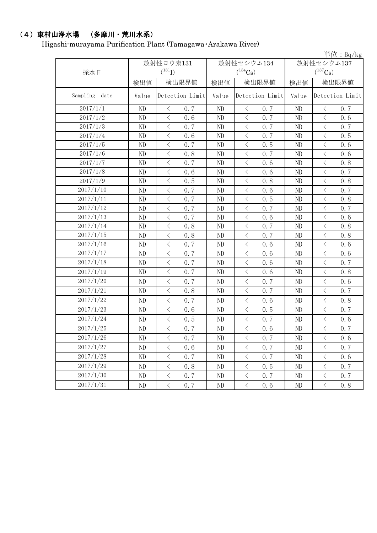## (4)東村山浄水場 (多摩川・荒川水系)

Higashi-murayama Purification Plant (Tamagawa・Arakawa River)

|                  |       |                                          |     |          |                             |     |            |                       | 単位: $Bq/kg$ |
|------------------|-------|------------------------------------------|-----|----------|-----------------------------|-----|------------|-----------------------|-------------|
|                  |       | 放射性ヨウ素131<br>$(^{131}I)$                 |     |          | 放射性セシウム134                  |     | 放射性セシウム137 |                       |             |
| 採水日              |       |                                          |     |          | $(^{134}\mathrm{Cs})$       |     |            | $(^{137}\mathrm{Cs})$ |             |
|                  | 検出値   | 検出限界値                                    |     | 検出値      | 検出限界値                       |     | 検出値        | 検出限界値                 |             |
| Sampling<br>date | Value | Detection Limit                          |     | Value    | Detection Limit             |     | Value      | Detection Limit       |             |
| 2017/1/1         | ND    | $\langle$                                | 0.7 | ND       | $\lt$                       | 0.7 | ND         | $\langle$             | 0.7         |
| 2017/1/2         | ND    | $\lt$                                    | 0.6 | ND       | $\langle$                   | 0.7 | ND         | $\lt$                 | 0.6         |
| 2017/1/3         | ND    | $\langle$                                | 0.7 | ND       | $\,$ $\,$ $\,$              | 0.7 | ND         | $\langle$             | 0.7         |
| 2017/1/4         | ND    | $\langle$                                | 0.6 | $\rm ND$ | $\langle$                   | 0.7 | ND         | $\langle$             | 0.5         |
| 2017/1/5         | ND    | $\langle$                                | 0.7 | ND       | $\langle$                   | 0.5 | ND         | $\langle$             | 0.6         |
| 2017/1/6         | ND    | $\langle$                                | 0.8 | $\rm ND$ | $\langle$                   | 0.7 | ND         | $\langle$             | 0.6         |
| 2017/1/7         | ND    | $\,$ $\,$ $\,$                           | 0.7 | ND       | $\,$ $\,$ $\,$              | 0.6 | ND         | $\,$ $\,$ $\,$        | 0.8         |
| 2017/1/8         | ND    | $\lt$                                    | 0.6 | ND       | $\langle$                   | 0.6 | ND         | $\langle$             | 0.7         |
| 2017/1/9         | ND    | $\langle$                                | 0.5 | $\rm ND$ | $\langle$                   | 0.8 | ND         | $\,$ $\,$ $\,$        | 0.8         |
| 2017/1/10        | ND    | $\lt$                                    | 0.7 | ND       | $\langle$                   | 0.6 | ND         | $\, \leq$             | 0.7         |
| 2017/1/11        | ND    | $\,$ $\,$ $\,$                           | 0.7 | $\rm ND$ | $\langle$                   | 0.5 | ND         | $\,$ $\,$ $\,$        | 0.8         |
| 2017/1/12        | ND    | $\overline{\left\langle \right\rangle }$ | 0.7 | ND       | $\langle$                   | 0.7 | ND         | $\langle$             | 0.7         |
| 2017/1/13        | ND    | $\,$ $\,$ $\,$                           | 0.7 | ND       | $\,$ $\,$ $\,$              | 0.6 | ND         | $\,$ $\,$ $\,$        | 0.6         |
| 2017/1/14        | ND    | $\overline{\left\langle \right\rangle }$ | 0.8 | ND       | $\langle$                   | 0.7 | ND         | $\,$ $\,$ $\,$        | 0.8         |
| 2017/1/15        | ND    | $\lt$                                    | 0.8 | $\rm ND$ | $\langle$                   | 0.7 | ND         | $\,$ $\,$ $\,$        | 0.8         |
| 2017/1/16        | ND    | $\langle$                                | 0.7 | ND       | $\langle$                   | 0.6 | ND         | $\lt$                 | 0.6         |
| 2017/1/17        | ND    | $\langle$                                | 0.7 | $\rm ND$ | $\langle$                   | 0.6 | ND         | $\langle$             | 0.6         |
| 2017/1/18        | ND    | $\langle$                                | 0.7 | ND       | $\langle$                   | 0.6 | ND         | $\,$ $\,$ $\,$        | 0.7         |
| 2017/1/19        | ND    | $\langle$                                | 0.7 | ND       | $\langle$                   | 0.6 | ND         | $\lt$                 | 0.8         |
| 2017/1/20        | ND    | $\lt$                                    | 0.7 | ND       | $\langle$                   | 0.7 | ND         | $\langle$             | 0.6         |
| 2017/1/21        | ND    | $\langle$                                | 0.8 | ND       | $\langle$                   | 0.7 | ND         | $\langle$             | 0.7         |
| 2017/1/22        | ND    | $\langle$                                | 0.7 | ND       | $\langle$                   | 0.6 | ND         | $\, \leq$             | 0.8         |
| 2017/1/23        | ND    | $\langle$                                | 0.6 | ND       | $\langle$                   | 0.5 | ND         | $\,$ $\,$ $\,$        | 0.7         |
| 2017/1/24        | ND    | $\, <\,$                                 | 0.5 | ND       | $\langle$                   | 0.7 | ND         | $\, \leq$             | 0.6         |
| 2017/1/25        | ND    | $\langle$                                | 0.7 | ND       | $\langle$                   | 0.6 | ND         | $\,$ $\,$ $\,$        | 0.7         |
| 2017/1/26        | ND    | $\langle$                                | 0.7 | ND       | $\langle$                   | 0.7 | ND         | $\lt$                 | 0.6         |
| 2017/1/27        | ND    | $\langle$                                | 0.6 | ND       | $\hspace{0.1mm}\big\langle$ | 0.7 | $\rm ND$   | $\, <\,$              | 0.7         |
| 2017/1/28        | ND    | $\lt$                                    | 0.7 | ND       | $\, \big\langle \,$         | 0.7 | ND         | $\, <\,$              | 0.6         |
| 2017/1/29        | ND    | $\, \big\langle \,$                      | 0.8 | $\rm ND$ | $\langle$                   | 0.5 | ND         | $\langle$             | 0.7         |
| 2017/1/30        | ND    | $\, \big\langle \,$                      | 0.7 | ND       | $\big\langle$               | 0.7 | ND         | $\langle$             | 0.7         |
| 2017/1/31        | ND    | $\langle$                                | 0.7 | ND       | $\langle$                   | 0.6 | $\rm ND$   | $\langle$             | 0.8         |
|                  |       |                                          |     |          |                             |     |            |                       |             |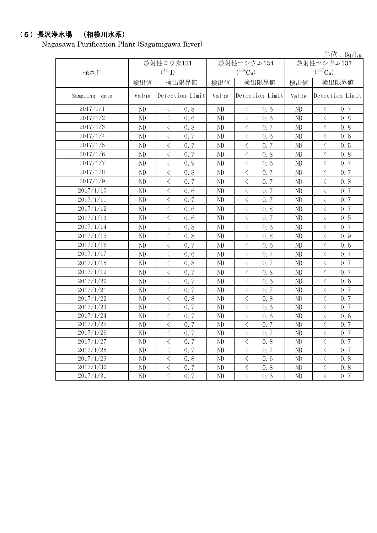## (5)長沢浄水場 (相模川水系)

Nagasawa Purification Plant (Sagamigawa River)

|               |       |                                                 |          |                                                 |                | 単位: Bq/kg                               |  |
|---------------|-------|-------------------------------------------------|----------|-------------------------------------------------|----------------|-----------------------------------------|--|
|               |       | 放射性ヨウ素131                                       |          | 放射性セシウム134                                      | 放射性セシウム137     |                                         |  |
| 採水日           |       | $(^{131}I)$                                     |          | $(^{134}Cs)$                                    | $(^{137}Cs)$   |                                         |  |
|               | 検出値   | 検出限界値                                           | 検出値      | 検出限界値                                           | 検出値            | 検出限界値                                   |  |
| Sampling date | Value | Detection Limit                                 | Value    | Detection Limit                                 | Value          | Detection Limit                         |  |
| 2017/1/1      | ND    | 0.8<br>$\lt$                                    | ND       | 0, 6<br>$\lt$                                   | ND             | 0.7<br>$\lt$                            |  |
| 2017/1/2      | ND    | $\langle$<br>0, 6                               | ND       | $\langle$<br>0.6                                | ND             | $\langle$<br>0.8                        |  |
| 2017/1/3      | ND    | $\langle$<br>0.8                                | ND       | $\langle$<br>0.7                                | ND             | $\langle$<br>0.8                        |  |
| 2017/1/4      | ND    | $\langle$<br>0.7                                | ND       | $\langle$<br>0.6                                | ND             | $\langle$<br>0.6                        |  |
| 2017/1/5      | ND    | $\lt$<br>0.7                                    | ND       | $\langle$<br>0.7                                | ND             | $\langle$<br>0.5                        |  |
| 2017/1/6      | ND    | $\lt$<br>0.7                                    | ND       | $\langle$<br>0.8                                | ND             | $\, < \,$<br>0.8                        |  |
| 2017/1/7      | ND    | $\overline{\left\langle \right\rangle }$<br>0.9 | ND       | $\overline{\langle}$<br>0.6                     | ND             | $\langle$<br>0.7                        |  |
| 2017/1/8      | ND    | $\overline{\left\langle \right\rangle }$<br>0.8 | ND       | $\overline{\left\langle \right\rangle }$<br>0.7 | N <sub>D</sub> | $\langle$<br>0.7                        |  |
| 2017/1/9      | ND    | $\lt$<br>0, 7                                   | ND       | $\lt$<br>0.7                                    | ND             | $\lt$<br>0.8                            |  |
| 2017/1/10     | ND    | $\langle$<br>0.6                                | ND       | $\overline{\left\langle \right\rangle }$<br>0.7 | ND             | $\langle$<br>0.7                        |  |
| 2017/1/11     | ND    | $\langle$<br>0.7                                | ND       | $\lt$<br>0.7                                    | ND             | $\lt$<br>0.7                            |  |
| 2017/1/12     | ND    | $\lt$<br>0.6                                    | ND       | $\langle$<br>0.8                                | ND             | $\lt$<br>0.7                            |  |
| 2017/1/13     | ND    | $\langle$<br>0.6                                | ND       | $\lt$<br>0.7                                    | ND             | $\, < \,$<br>0.5                        |  |
| 2017/1/14     | ND    | $\,$ $\,$ $\,$<br>0, 8                          | ND       | $\langle$<br>0, 6                               | ND             | $\,$ $\,$ $\,$<br>0.7                   |  |
| 2017/1/15     | ND    | $\lt$<br>0.8                                    | ND       | $\langle$<br>0.8                                | ND             | $\, <\,$<br>0.9                         |  |
| 2017/1/16     | ND    | $\lt$<br>0.7                                    | ND       | $\lt$<br>0.6                                    | ND             | $\,$ $\,$ $\,$<br>0, 6                  |  |
| 2017/1/17     | ND    | $\lt$<br>0.6                                    | ND       | $\lt$<br>0.7                                    | ND             | $\hspace{0.1mm} <\hspace{0.1mm}$<br>0.7 |  |
| 2017/1/18     | ND    | $\langle$<br>0.8                                | ND       | $\lt$<br>0, 7                                   | ND             | $\,<\,$<br>0.7                          |  |
| 2017/1/19     | ND    | $\langle$<br>0.7                                | $\rm ND$ | $\langle$<br>0.8                                | ND             | $\lt$<br>0.7                            |  |
| 2017/1/20     | ND    | $\,$ $\,$ $\,$<br>0.7                           | ND       | $\langle$<br>0.6                                | ND             | $\lt$<br>0.6                            |  |
| 2017/1/21     | ND    | $\lt$<br>0.7                                    | ND       | $\langle$<br>0.7                                | ND             | $\langle$<br>0.7                        |  |
| 2017/1/22     | ND    | $\lt$<br>0, 8                                   | ND       | $\lt$<br>0.8                                    | ND             | $\lt$<br>0.7                            |  |
| 2017/1/23     | ND    | $\lt$<br>0.7                                    | ND       | $\langle$<br>0.6                                | ND             | $\hspace{0.5cm}\big\langle$<br>0.7      |  |
| 2017/1/24     | ND    | $\lt$<br>0.7                                    | ND       | $\lt$<br>0.6                                    | ND             | $\lt$<br>0.6                            |  |
| 2017/1/25     | ND    | $\lt$<br>0.7                                    | ND       | $\langle$<br>0.7                                | ND             | $\lt$<br>0.7                            |  |
| 2017/1/26     | ND    | $\lt$<br>0, 7                                   | ND       | $\lt$<br>0.7                                    | ND             | $\, < \,$<br>0.7                        |  |
| 2017/1/27     | ND    | $\lt$<br>0.7                                    | ND       | $\langle$<br>0.8                                | ND             | $\langle$<br>0.7                        |  |
| 2017/1/28     | ND    | $\langle$<br>0.7                                | ND       | $\langle$<br>0.7                                | ND             | $\lt$<br>0.7                            |  |
| 2017/1/29     | ND    | $\langle$<br>0.8                                | ND       | $\lt$<br>0.6                                    | ND             | $\langle$<br>0.8                        |  |
| 2017/1/30     | ND    | $\hspace{0.5cm}\big\langle$<br>0.7              | ND       | $\langle$<br>0.8                                | ND             | $\bigg\langle$<br>0.8                   |  |
| 2017/1/31     | ND    | $\overline{\left\langle \right\rangle }$<br>0.7 | ND       | $\langle$<br>0.6                                | ND             | $\overline{\langle}$<br>0, 7            |  |